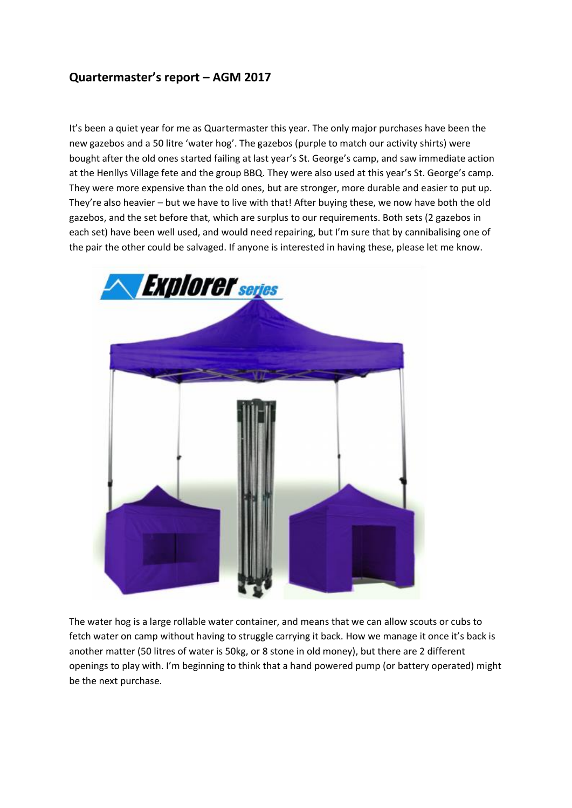## **Quartermaster's report – AGM 2017**

It's been a quiet year for me as Quartermaster this year. The only major purchases have been the new gazebos and a 50 litre 'water hog'. The gazebos (purple to match our activity shirts) were bought after the old ones started failing at last year's St. George's camp, and saw immediate action at the Henllys Village fete and the group BBQ. They were also used at this year's St. George's camp. They were more expensive than the old ones, but are stronger, more durable and easier to put up. They're also heavier – but we have to live with that! After buying these, we now have both the old gazebos, and the set before that, which are surplus to our requirements. Both sets (2 gazebos in each set) have been well used, and would need repairing, but I'm sure that by cannibalising one of the pair the other could be salvaged. If anyone is interested in having these, please let me know.



The water hog is a large rollable water container, and means that we can allow scouts or cubs to fetch water on camp without having to struggle carrying it back. How we manage it once it's back is another matter (50 litres of water is 50kg, or 8 stone in old money), but there are 2 different openings to play with. I'm beginning to think that a hand powered pump (or battery operated) might be the next purchase.